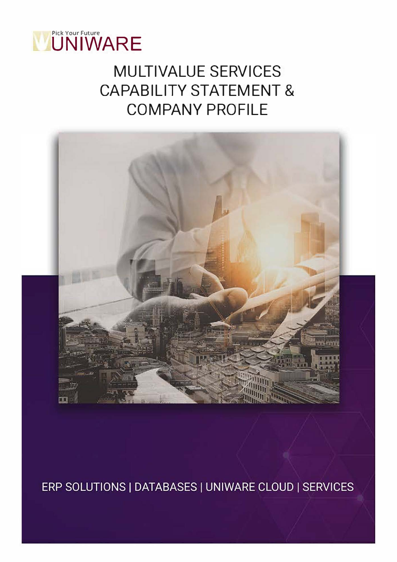

# MULTIVALUE SERVICES CAPABILITY STATEMENT & COMPANY PROFILE



ERP SOLUTIONS | DATABASES | UNIWARE CLOUD | SERVICES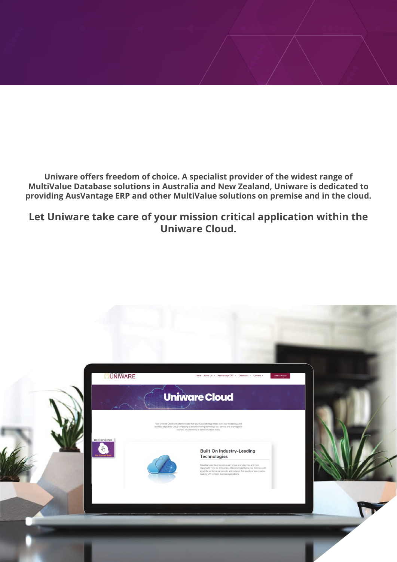**Uniware offers freedom of choice. A specialist provider of the widest range of MultiValue Database solutions in Australia and New Zealand, Uniware is dedicated to providing AusVantage ERP and other MultiValue solutions on premise and in the cloud.**

**Let Uniware take care of your mission critical application within the Uniware Cloud.**

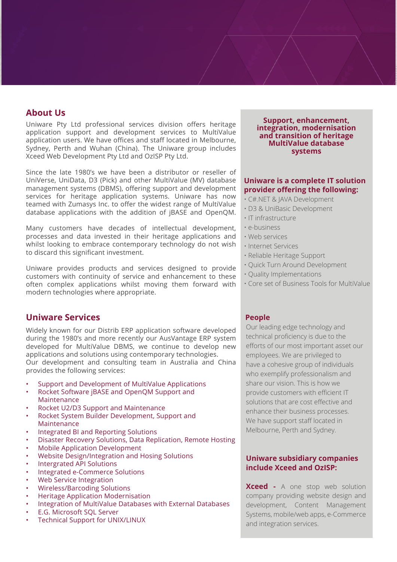# **About Us**

Uniware Pty Ltd professional services division offers heritage application support and development services to MultiValue application users. We have offices and staff located in Melbourne, Sydney, Perth and Wuhan (China). The Uniware group includes Xceed Web Development Pty Ltd and OzISP Pty Ltd.

Since the late 1980's we have been a distributor or reseller of UniVerse, UniData, D3 (Pick) and other MultiValue (MV) database management systems (DBMS), offering support and development services for heritage application systems. Uniware has now teamed with Zumasys Inc. to offer the widest range of MultiValue database applications with the addition of jBASE and OpenQM.

Many customers have decades of intellectual development, processes and data invested in their heritage applications and whilst looking to embrace contemporary technology do not wish to discard this significant investment.

Uniware provides products and services designed to provide customers with continuity of service and enhancement to these often complex applications whilst moving them forward with modern technologies where appropriate.

# **Uniware Services**

Widely known for our Distrib ERP application software developed during the 1980's and more recently our AusVantage ERP system developed for MultiValue DBMS, we continue to develop new applications and solutions using contemporary technologies.

Our development and consulting team in Australia and China provides the following services:

- Support and Development of MultiValue Applications
- Rocket Software jBASE and OpenQM Support and Maintenance
- Rocket U2/D3 Support and Maintenance
- Rocket System Builder Development, Support and Maintenance
- Integrated BI and Reporting Solutions
- Disaster Recovery Solutions, Data Replication, Remote Hosting
- Mobile Application Development
- Website Design/Integration and Hosing Solutions
- Intergrated API Solutions
- Integrated e-Commerce Solutions
- Web Service Integration
- Wireless/Barcoding Solutions
- Heritage Application Modernisation
- Integration of MultiValue Databases with External Databases
- E.G. Microsoft SQL Server
- Technical Support for UNIX/LINUX

#### **Support, enhancement, integration, modernisation and transition of heritage MultiValue database systems**

#### **Uniware is a complete IT solution provider offering the following:**

- C#.NET & JAVA Development
- D3 & UniBasic Development
- IT infrastructure
- e-business
- Web services
- Internet Services
- Reliable Heritage Support
- Quick Turn Around Development
- Quality Implementations
- Core set of Business Tools for MultiValue

#### **People**

Our leading edge technology and technical proficiency is due to the efforts of our most important asset our employees. We are privileged to have a cohesive group of individuals who exemplify professionalism and share our vision. This is how we provide customers with efficient IT solutions that are cost effective and enhance their business processes. We have support staff located in Melbourne, Perth and Sydney.

#### **Uniware subsidiary companies include Xceed and OzISP:**

**Xceed -** A one stop web solution company providing website design and development, Content Management Systems, mobile/web apps, e-Commerce and integration services.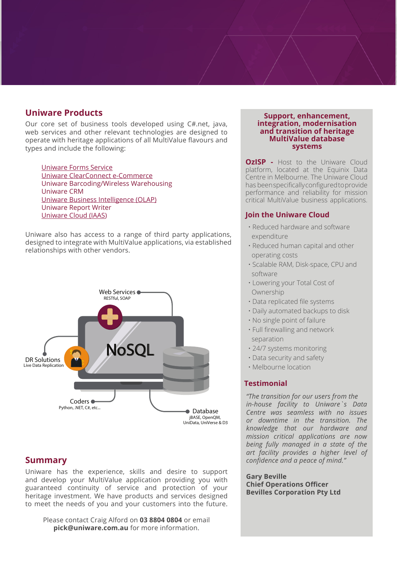# **Uniware Products**

Our core set of business tools developed using C#.net, java, web services and other relevant technologies are designed to operate with heritage applications of all MultiValue flavours and types and include the following:

[Uniware Forms Service](https://www.uniware-accounting-software.com.au/forms-service/) [Uniware ClearConnect e-Commerce](https://www.uniware-accounting-software.com.au/e-commerce-software/) Uniware Barcoding/Wireless Warehousing Uniware CRM [Uniware Business Intelligence \(OLAP\)](https://www.uniware-accounting-software.com.au/business-intelligence/) Uniware Report Writer [Uniware Cloud \(IAAS\)](https://www.uniware-accounting-software.com.au/uniware-cloud/)

Uniware also has access to a range of third party applications, designed to integrate with MultiValue applications, via established relationships with other vendors.



### **Summary**

Uniware has the experience, skills and desire to support and develop your MultiValue application providing you with guaranteed continuity of service and protection of your heritage investment. We have products and services designed to meet the needs of you and your customers into the future.

Please contact Craig Alford on **[03 8804 0804](http://03 8804 0804)** or email **[pick@uniware.com.au](mailto:pick@uniware.com.au )** for more information.

#### **Support, enhancement, integration, modernisation and transition of heritage MultiValue database systems**

**OzISP - Host to the Uniware Cloud** platform, located at the Equinix Data Centre in Melbourne. The Uniware Cloud has been specifically configured to provide performance and reliability for mission critical MultiValue business applications.

#### **Join the Uniware Cloud**

- Reduced hardware and software expenditure
- Reduced human capital and other operating costs
- Scalable RAM, Disk-space, CPU and software
- Lowering your Total Cost of Ownership
- Data replicated file systems
- Daily automated backups to disk
- No single point of failure
- Full firewalling and network separation
- 24/7 systems monitoring
- Data security and safety
- Melbourne location

#### **Testimonial**

*"The transition for our users from the in-house facility to Uniware`s Data Centre was seamless with no issues or downtime in the transition. The knowledge that our hardware and mission critical applications are now being fully managed in a state of the art facility provides a higher level of confidence and a peace of mind."* 

**Gary Beville Chief Operations Officer Bevilles Corporation Pty Ltd**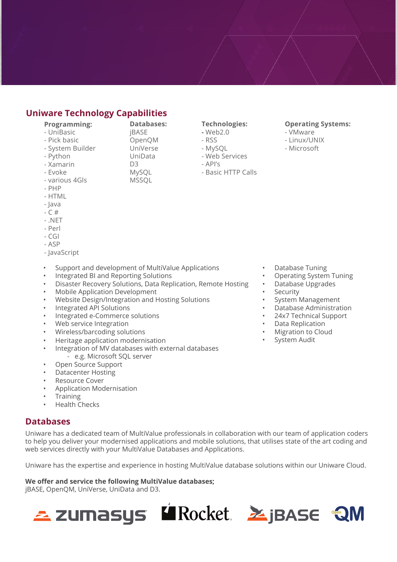# **Uniware Technology Capabilities**

#### **Programming:**

- UniBasic
- Pick basic
- System Builder
- Python
- Xamarin
- UniData D<sub>3</sub>

**Databases:**

jBASE OpenQM UniVerse

- MySQL
- various 4Gls MSSQL
- PHP

- Evoke

- HTML
- Java
- $C$ #
- 
- .NET
- Perl - CGI
- $ASP$
- JavaScript

#### • Support and development of MultiValue Applications

- Integrated BI and Reporting Solutions
- Disaster Recovery Solutions, Data Replication, Remote Hosting
- Mobile Application Development
- Website Design/Integration and Hosting Solutions
- Integrated API Solutions
- Integrated e-Commerce solutions
- Web service Integration
- Wireless/barcoding solutions
- Heritage application modernisation
- Integration of MV databases with external databases - e.g. Microsoft SQL server
- Open Source Support
- Datacenter Hosting
- Resource Cover
- Application Modernisation
- **Training**
- Health Checks

# **Databases**

Uniware has a dedicated team of MultiValue professionals in collaboration with our team of application coders to help you deliver your modernised applications and mobile solutions, that utilises state of the art coding and web services directly with your MultiValue Databases and Applications.

Uniware has the expertise and experience in hosting MultiValue database solutions within our Uniware Cloud.

#### **We offer and service the following MultiValue databases;**

jBASE, OpenQM, UniVerse, UniData and D3.



#### **Technologies:**

- **-** Web2.0
- RSS
- MySQL
- Web Services
- API's
- Basic HTTP Calls

#### **Operating Systems:**

- VMware
- Linux/UNIX
- Microsoft

- Database Tuning
- Operating System Tuning
- Database Upgrades
- **Security**
- System Management
- Database Administration
- 24x7 Technical Support
- Data Replication
- Migration to Cloud
- System Audit